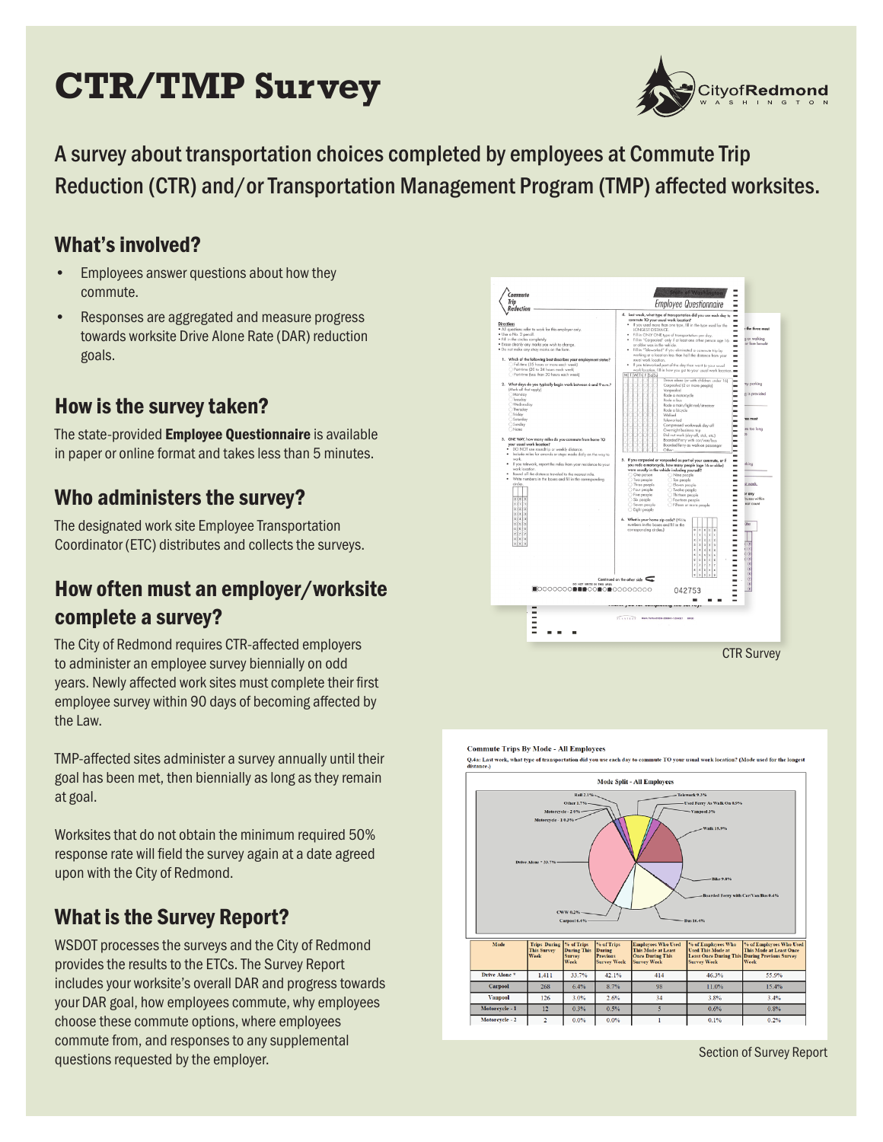# **CTR/TMP Survey**



A survey about transportation choices completed by employees at Commute Trip Reduction (CTR) and/or Transportation Management Program (TMP) affected worksites.

#### What's involved?

- Employees answer questions about how they commute.
- Responses are aggregated and measure progress towards worksite Drive Alone Rate (DAR) reduction goals.

# How is the survey taken?

The state-provided Employee Questionnaire is available in paper or online format and takes less than 5 minutes.

#### Who administers the survey?

The designated work site Employee Transportation Coordinator (ETC) distributes and collects the surveys.

# How often must an employer/worksite complete a survey?

The City of Redmond requires CTR-affected employers to administer an employee survey biennially on odd years. Newly affected work sites must complete their first employee survey within 90 days of becoming affected by the Law.

TMP-affected sites administer a survey annually until their goal has been met, then biennially as long as they remain at goal.

Worksites that do not obtain the minimum required 50% response rate will field the survey again at a date agreed upon with the City of Redmond.

# What is the Survey Report?

WSDOT processes the surveys and the City of Redmond provides the results to the ETCs. The Survey Report includes your worksite's overall DAR and progress towards your DAR goal, how employees commute, why employees choose these commute options, where employees commute from, and responses to any supplemental questions requested by the employer.



#### **Commute Trips By Mode - All Employees**

Q.4a: Last week, what type of transportation did you use each day to commute TO your usual work location? (Mode used for the longes



Section of Survey Report